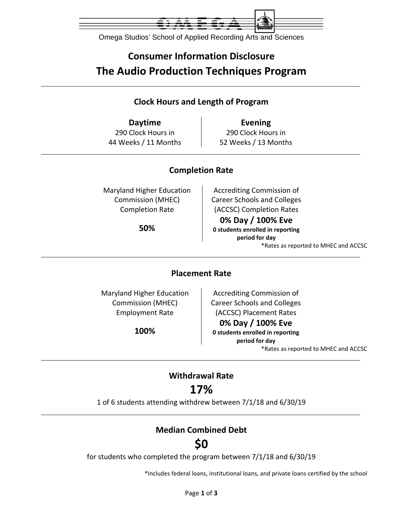

Omega Studios' School of Applied Recording Arts and Sciences

# **Consumer Information Disclosure The Audio Production Techniques Program**

### **Clock Hours and Length of Program**

**Daytime Evening** 290 Clock Hours in 44 Weeks / 11 Months

290 Clock Hours in 52 Weeks / 13 Months

### **Completion Rate**

Maryland Higher Education Commission (MHEC) Completion Rate

**50%**

Accrediting Commission of Career Schools and Colleges (ACCSC) Completion Rates **0% Day / 100% Eve 0 students enrolled in reporting period for day** \*Rates as reported to MHEC and ACCSC

### **Placement Rate**

Maryland Higher Education Commission (MHEC) Employment Rate

**100%**

Accrediting Commission of Career Schools and Colleges (ACCSC) Placement Rates

#### **0% Day / 100% Eve**

**0 students enrolled in reporting period for day** \*Rates as reported to MHEC and ACCSC

### **Withdrawal Rate**

### **17%**

1 of 6 students attending withdrew between 7/1/18 and 6/30/19

### **Median Combined Debt**

## **\$0**

for students who completed the program between 7/1/18 and 6/30/19

\*Includes federal loans, institutional loans, and private loans certified by the school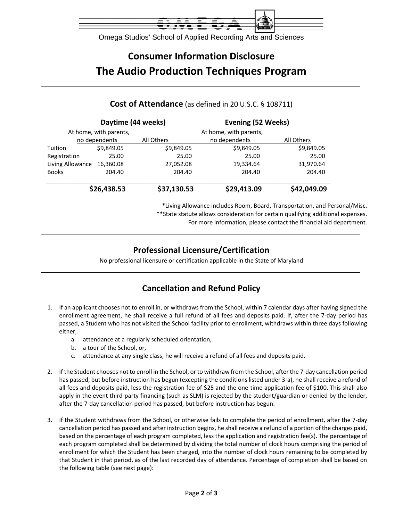

Omega Studios' School of Applied Recording Arts and Sciences

# **Consumer Information Disclosure The Audio Production Techniques Program**

### **Daytime (44 weeks) Evening (52 Weeks)** At home, with parents, and the metal at home, with parents, no dependents All Others no dependents All Others Tuition \$9,849.05 \$9,849.05 \$9,849.05 \$9,849.05 Registration 25.00 25.00 25.00 25.00 Living Allowance 16,360.08 27,052.08 19,334.64 31,970.64

#### **Cost of Attendance** (as defined in 20 U.S.C. § 108711)

|                            | \$26,438.53 | \$37,130.53 | \$29,413.09 | \$42,049.09 |
|----------------------------|-------------|-------------|-------------|-------------|
| Books                      | 204.40      | 204.40      | 204.40      | 204.40      |
| Living Allowance 16,360.08 |             | 27,052.08   | 19,334.64   | 31,970.64   |

\*Living Allowance includes Room, Board, Transportation, and Personal/Misc. \*\*State statute allows consideration for certain qualifying additional expenses. For more information, please contact the financial aid department.

### **Professional Licensure/Certification**

No professional licensure or certification applicable in the State of Maryland

### **Cancellation and Refund Policy**

- 1. If an applicant chooses not to enroll in, or withdraws from the School, within 7 calendar days after having signed the enrollment agreement, he shall receive a full refund of all fees and deposits paid. If, after the 7‐day period has passed, a Student who has not visited the School facility prior to enrollment, withdraws within three days following either,
	- a. attendance at a regularly scheduled orientation,
	- b. a tour of the School, or,
	- c. attendance at any single class, he will receive a refund of all fees and deposits paid.
- 2. If the Student chooses not to enroll in the School, or to withdraw from the School, after the 7‐day cancellation period has passed, but before instruction has begun (excepting the conditions listed under 3-a), he shall receive a refund of all fees and deposits paid, less the registration fee of \$25 and the one‐time application fee of \$100. This shall also apply in the event third-party financing (such as SLM) is rejected by the student/guardian or denied by the lender, after the 7‐day cancellation period has passed, but before instruction has begun.
- 3. If the Student withdraws from the School, or otherwise fails to complete the period of enrollment, after the 7‐day cancellation period has passed and after instruction begins, he shall receive a refund of a portion of the charges paid, based on the percentage of each program completed, less the application and registration fee(s). The percentage of each program completed shall be determined by dividing the total number of clock hours comprising the period of enrollment for which the Student has been charged, into the number of clock hours remaining to be completed by that Student in that period, as of the last recorded day of attendance. Percentage of completion shall be based on the following table (see next page):